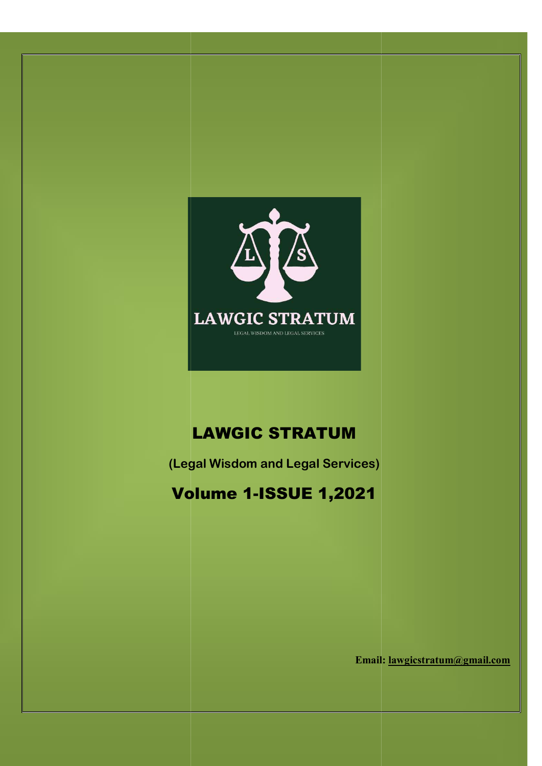

# LAWGIC STRATUM

(Legal Wisdom and Legal Services)

# Volume 1 Volume 1-ISSUE 1,2021

Email: Email: lawgicstratum@gmail.com

w.lawgicstratum.com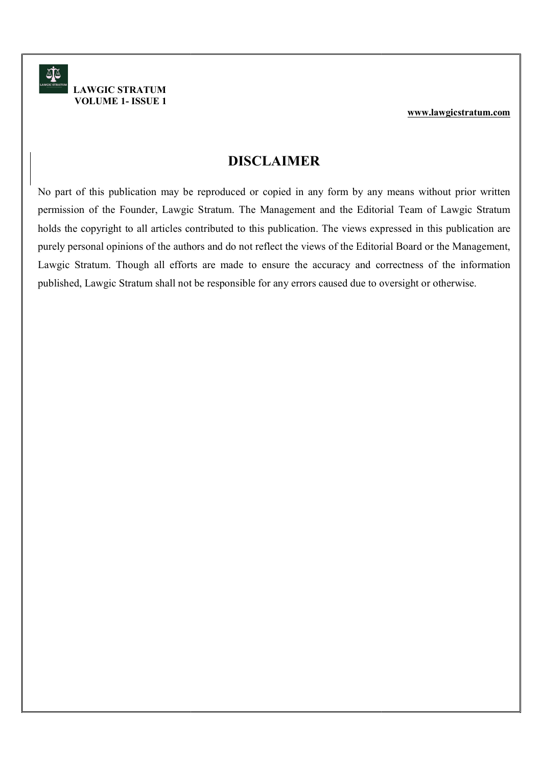### DISCLAIMER

No part of this publication may be reproduced or copied in any form by any means without prior written No part of this publication may be reproduced or copied in any form by any means without prior written permission of the Founder, Lawgic Stratum. The Management and the Editorial Team of Lawgic Stratum holds the copyright to all articles contributed to this publication. The views expressed in this publication are purely personal opinions of the authors and do not reflect the views of the Editorial Board or the Management, purely personal opinions of the authors and do not reflect the views of the Editorial Board or the Management, purely personal opinions of the authors and do not reflect the views of the Editorial Board or the Management,<br>Lawgic Stratum. Though all efforts are made to ensure the accuracy and correctness of the information published, Lawgic Stratum shall not be responsible for any errors caused due to oversight or otherwise. published, Lawgic Stratum shall not be responsible for any errors caused due to oversight or otherwise. If this publication may be reproduced or copied in any form by any means without prior written<br>n of the Founder, Lawgic Stratum. The Management and the Editorial Team of Lawgic Stratum<br>copyright to all articles contributed **Stratum be and Stratum** be reproduced or copied in any form by any means without prior written<br>Founder, Lawgic Stratum. The Management and the Editorial Team of Lawgic Stratum<br>t to all articles contributed to this publica permission of the Founder, Lawgic Stratum. The Management and the Editorial Team of Lawgic Stratum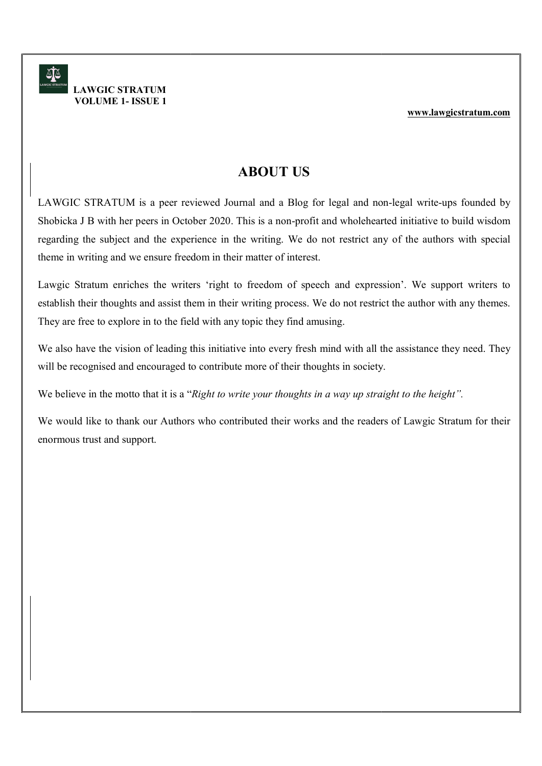## ABOUT US

LAWGIC STRATUM is a peer reviewed Journal and a Blog for legal and non-legal write-ups founded by LAWGIC STRATUM is a peer reviewed Journal and a Blog for legal and non-legal write-ups founded by<br>Shobicka J B with her peers in October 2020. This is a non-profit and wholehearted initiative to build wisdom regarding the subject and the experience in the writing. We do not restrict any of the authors with special theme in writing and we ensure freedom in their matter of interest. theme in writing and we ensure freedom in their matter of interest. **ABOUT US**<br>**ABOUT US**<br>**ABOUT US**<br>**ABOUT US**<br>**ABOUT US**<br>**ABOUT US**<br>**ABOUT US**<br>**ABOUT US**<br>**ABOUT US**<br>**ABOUT US**<br>**ABOUT US**<br>**DEREM INTER OF A TO A THE ASSEMBED TO A THE ADDED TO A THE ADDED TO A THE ADDED TO ABOUT THE ABOUT** 

Lawgic Stratum enriches the writers 'right to freedom of speech and expression'. We support writers to establish their thoughts and assist them in their writing process. We do not restrict the author with any themes. They are free to explore in to the field with any topic they find amusing. Lawgic Stratum enriches the writers 'right to freedom of speech and expressio establish their thoughts and assist them in their writing process. We do not restrict they are free to explore in to the field with any topic th establish their thoughts and assist them in their writing process. We do not restrict the author with any themes.

We also have the vision of leading this initiative into every fresh mind with all the assistance they need. They  $\parallel$ will be recognised and encouraged to contribute more of their thoughts in society. will be recognised and encouraged to contribute more of their thoughts in society.

We believe in the motto that it is a "Right to write your thoughts in a way up straight to the height".

We would like to thank our Authors who contributed their works and the readers of Lawgic Stratum for their We would like to thank our Authors who contributed their works and the readers of Lawgic Stratum for their enormous trust and support.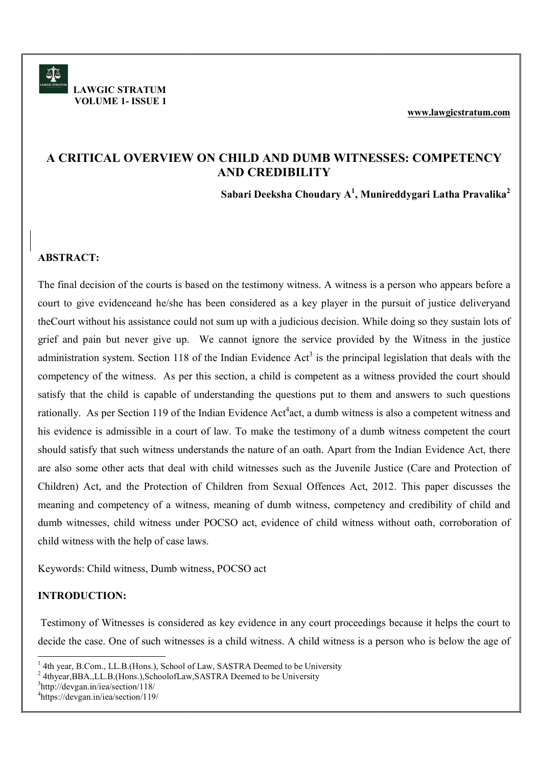# A CRITICAL OVERVIEW ON CHILD AND DUMB WITNESSES: COMPETENCY<br>AND CREDIBILITY

Sabari Deeksha Choudary A $^1$ , Munireddygari Latha Pravalika $^2\;\;\big\vert$ 

### ABSTRACT:

The final decision of the courts is based on the testimony witness. A witness is a person who appears before a The final decision of the courts is based on the testimony witness. A witness is a person who appears before a court to give evidenceand he/she has been considered as a key player in the pursuit of justice deliveryand | theCourt without his assistance could not sum up with a judicious decision. While doing so they sustain lots of theCourt without his assistance could not sum up with a judicious decision. While doing so they sustain lots of grief and pain but never give up. We cannot ignore the service provided by the Witness in the justice grief and pain but never give up. We cannot ignore the service provided by the Witness in the justice court to give evidenceand he/she has been considered as a key player in the pursuit of justice deliveryand<br>the Court without his assistance could not sum up with a judicious decision. While doing so they sustain lots of<br>gr competency of the witness. As per this section, a child is competent as a witness provided the court should  $\parallel$ competency of the witness. As per this section, a child is competent as a witness provided the court should satisfy that the child is capable of understanding the questions put to them and answers to such questions rationally. As per Section 119 of the Indian Evidence Act<sup>4</sup>act, a dumb witness is also a competent witness and his evidence is admissible in a court of law. To make the testimony of a dumb witness competent the court | his evidence is admissible in a court of law. To make the testimony of a dumb witness competent the court<br>should satisfy that such witness understands the nature of an oath. Apart from the Indian Evidence Act, there are also some other acts that deal with child witnesses such as the Juvenile Justice (Care and Protection of Children) Act, and the Protection of Children from Sexual Offences Act, 2012. This paper discusses the meaning and competency of a witness, meaning of dumb witness, competency and credibility of child and<br>dumb witnesses, child witness under POCSO act, evidence of child witness without oath, corroboration of dumb witnesses, child witness under POCSO act, evidence of child witness without oath, corroboration of child witness with the help of case laws. **EXERTICAL OVERVIEW ON CHILD AND DUMB WITNESSES: COMPETENCY**<br> **Shouri Dresslan Choudary A<sup>1</sup>, Municreddygard Latha Pravailita<sup>3</sup><br>
<b>Shouri Dresslan Choudary A<sup>1</sup>, Municreddygard Latha Pravailita<sup>3</sup><br>
<b>STRACT:**<br> **EXERTING WE** 

Keywords: Child witness, Dumb witness, POCSO act

### INTRODUCTION:

-

Testimony of Witnesses is considered as key evidence in any court proceedings because it helps the court to Testimony of Witnesses is considered as key evidence in any court proceedings because it helps the court to Testimony of Witnesses is considered as key evidence in any court proceedings because it helps the court to decide the case. One of such witnesses is a child witness. A child witness is a person who is below the age of

<sup>2</sup> 4thyear, BBA., LL.B. (Hons.), SchoolofLaw, SASTRA Deemed to be University

<sup>3</sup>http://devgan.in/iea/section/118/

AT

 LAWGIC STRATUM VOLUME 1- ISSUE 1

<sup>&</sup>lt;sup>1</sup> 4th year, B.Com., LL.B.(Hons.), School of Law, SASTRA Deemed to be University

<sup>4</sup>https://devgan.in/iea/section/119/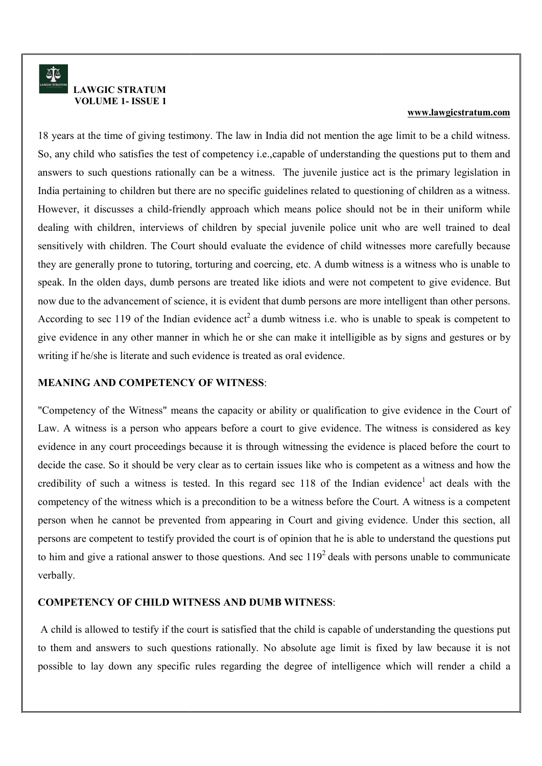18 years at the time of giving testimony. The law in India did not mention the age limit to be a child witness. 18 years at the time of giving testimony. The law in India did not mention the age limit to be a child witness. 18 years at the time of giving testimony. The law in India did not mention the age limit to be a child witness.<br>So, any child who satisfies the test of competency i.e.,capable of understanding the questions put to them and answers to such questions rationally can be a witness. The juvenile justice act is the primary legislation in India pertaining to children but there are no specific guidelines related to questioning of children as a witness. However, it discusses a child-friendly approach which means police should not be in their uniform while  $\parallel$ dealing with children, interviews of children by special juvenile police unit who are well trained to deal | sensitively with children. The Court should evaluate the evidence of child witnesses more carefully because they are generally prone to tutoring, torturing and coercing, etc. A dumb witness is a witness who is unable to speak. In the olden days, dumb persons are treated like idiots and were not competent to give evidence. But | now due to the advancement of science, it is evident that dumb persons are more intelligent than other persons now due to the advancement of science, it is evident that dumb persons are more intelligent than other persons.<br>According to sec 119 of the Indian evidence act<sup>2</sup> a dumb witness i.e. who is unable to speak is competent to give evidence in any other manner in which he or she can make it intelligible as by signs and gestures or by writing if he/she is literate and such evidence is treated as oral evidence.<br>MEANING AND COMPETENCY OF WITNESS: ers to such questions rationally can be a witness. The juvenile justice act is the primary legislation in pertaining to children but there are no specific guidelines related to questioning of children as a witness ever, it As years at the time of giving keatmosy. The law in India did not mention the age limit is be a sindividuence.<br>
So, any child who satisfies the test of competency i.e., spale of understanding the customs part in the seaso

### MEANING AND COMPETENCY OF WITNESS

"Competency of the Witness" means the capacity or ability or qualification to give evidence in the Court of "Competency of the Witness" means the capacity or ability or qualification to give evidence in the Court of Law. A witness is a person who appears before a court to give evidence. The witness is considered as key evidence in any court proceedings because it is through witnessing the evidence is placed before the court to decide the case. So it should be very clear as to certain issues like who is competent as a witness and how the decide the case. So it should be very clear as to certain issues like who is competent as a witness and how the credibility of such a witness is tested. In this regard sec 118 of the Indian evidence<sup>1</sup> act deals with the competency of the witness which is a precondition to be a witness before the Court. A witness is a competent  $\parallel$ person when he cannot be prevented from appearing in Court and giving evidence. Under this section, all person when he cannot be prevented from appearing in Court and giving evidence. Under this section, all persons are competent to testify provided the court is of opinion that he is able to understand the questions put decide the case. So it should be very clear as to certain issues like who is competent as a witness and how the credibility of such a witness is tested. In this regard sec 118 of the Indian evidence<sup>1</sup> act deals with the verbally. the capacity or ability or qualification to give evidence in the Court of ears before a court to give evidence. The witness is considered as key cause it is through witnessing the evidence is placed before the court to Law. A witness is a person who appears before a court to give evidence. The witness is considered as key

### COMPETENCY OF CHILD WITNESS AND DUMB WITNESS:

A child is allowed to testify if the court is satisfied that the child is capable of understanding the questions put to them and answers to such questions rationally. No absolute age limit is fixed by law because it is not possible to lay down any specific rules regarding the degree of intelligence which will render a child a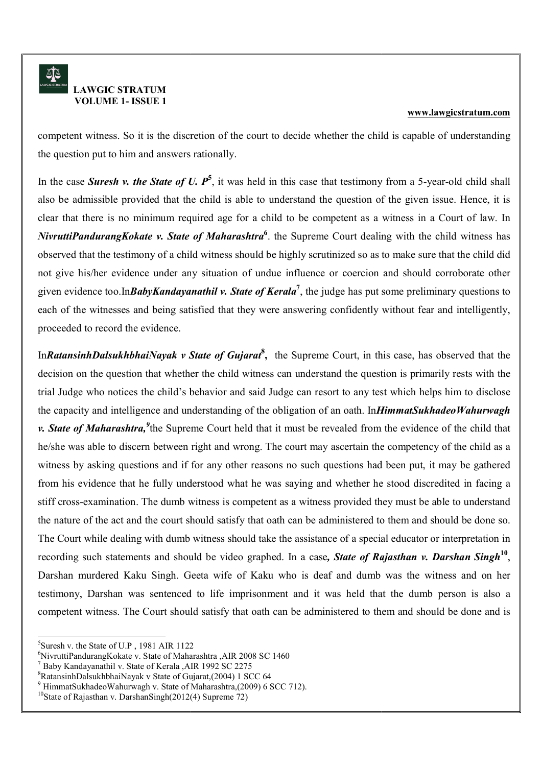### www.lawgicstratum.com

competent witness. So it is the discretion of the court to decide whether the child is capable of understanding competent witness. So it is the discretion of the court to decide whether the child is capable of understanding the question put to him and answers rationally.

In the case Suresh v. the State of U.  $P^5$ , it was held in this case that testimony from a 5-year-old child shall also be admissible provided that the child is able to understand the question of the given issue. Hence, it is also be admissible provided that the child is able to understand the question of the given issue. Hence, it is also be admissible provided that the child is able to understand the question of the given issue. Hence, it is<br>clear that there is no minimum required age for a child to be competent as a witness in a Court of law. In NivruttiPandurangKokate v. State of Maharashtra<sup>6</sup>, the Supreme Court dealing with the child witness has observed that the testimony of a child witness should be highly scrutinized so as to make sure that the child did  $\parallel$ observed that the testimony of a child witness should be highly scrutinized so as to make sure that the child did<br>not give his/her evidence under any situation of undue influence or coercion and should corroborate other given evidence too.In*BabyKandayanathil v. State of Kerala<sup>7</sup>*, the judge has put some preliminary questions to each of the witnesses and being satisfied that they were answering confidently without fear and intelligently, proceeded to record the evidence.

InRatansinhDalsukhbhaiNayak v State of Gujarat<sup>8</sup>, the Supreme Court, in this case, has observed that the decision on the question that whether the child witness can understand the question is primarily rests with the trial Judge who notices the child's behavior and said Judge can resort to any test which helps him to disclose the capacity and intelligence and understanding of the obligation of an oath. In*HimmatSukhadeoWahurwagh* | v. State of Maharashtra, <sup>9</sup> the Supreme Court held that it must be revealed from the evidence of the child that he/she was able to discern between right and wrong. The court may ascertain the competency of the child as a he/she was able to discern between right and wrong. The court may ascertain the competency of the child as a witness by asking questions and if for any other reasons no such questions had been put, it may be gathered  $\parallel$ from his evidence that he fully understood what he was saying and whether he stood discredited in facing a stiff cross-examination. The dumb witness is competent as a witness provided they must be able to understand the nature of the act and the court should satisfy that oath can be administered to them and should be done so. the nature of the act and the court should satisfy that oath can be administered to them and should be done so.<br>The Court while dealing with dumb witness should take the assistance of a special educator or interpretation i recording such statements and should be video graphed. In a case, State of Rajasthan v. Darshan Singh<sup>10</sup>,  $\parallel$ recording such statements and should be video graphed. In a case, *State of Rajasthan v. Darshan Singh*<sup>10</sup>,<br>Darshan murdered Kaku Singh. Geeta wife of Kaku who is deaf and dumb was the witness and on her testimony, Darshan was sentenced to life imprisonment and it was held that the dumb person is also a competent witness. The Court should satisfy that oath can be administered to them and should be done and is competent witness. The Court should satisfy that oath can be administered to them and should be done and is **State of Maharashtra,**<sup>9</sup>the Supreme Court held that it must be revealed from the evidence of the child that she was able to discern between right and wrong. The court may ascertain the competency of the child as a ness b Darshan murdered Kaku Singh. Geeta wife of Kaku who is deaf and dumb was the witness<br>testimony, Darshan was sentenced to life imprisonment and it was held that the dumb perso<br>competent witness. The Court should satisfy tha from his evidence that he fully understood what he was saying and whether he stood discredited in facing a , Darshan was sentenced to life imprisonment and it was held that the dumb person is also a

<sup>-</sup><sup>5</sup>Suresh v. the State of U.P, 1981 AIR 1122

 $6$ NivruttiPandurangKokate v. State of Maharashtra ,AIR 2008 SC 1460

<sup>7</sup> Baby Kandayanathil v. State of Kerala ,AIR 1992 SC 2275

 $\mathrm{^{7}}$  Baby Kandayanathil v. State of Kerala ,AIR 1992 SC 2275<br> $\mathrm{^{8}R}$ atansinhDalsukhbhaiNayak v State of Gujarat,(2004) 1 SCC 64

 $9$  HimmatSukhadeoWahurwagh v. State of Maharashtra,(2009) 6 SCC 712).

<sup>&</sup>lt;sup>10</sup>State of Rajasthan v. DarshanSingh(2012(4) Supreme 72)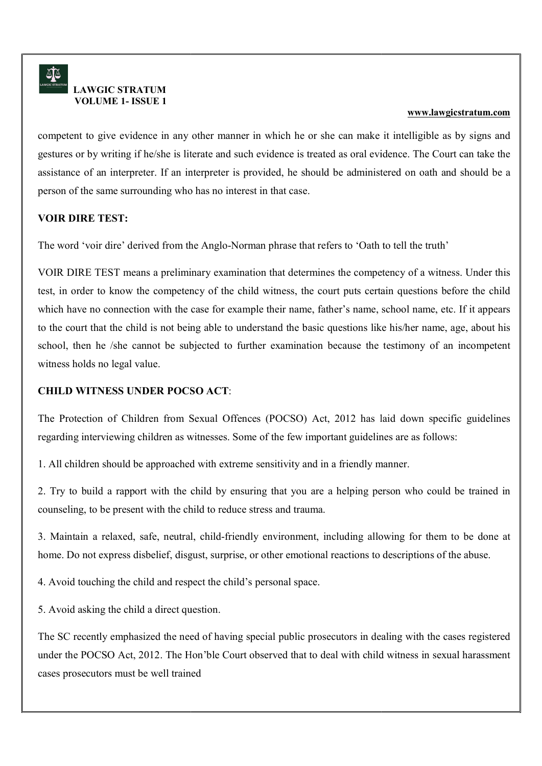competent to give evidence in any other manner in which he or she can make it intelligible as by signs and | gestures or by writing if he/she is literate and such evidence is treated as oral evidence. The Court can take the assistance of an interpreter. If an interpreter is provided, he should be administered on person of the same surrounding who has no interest in that case. s or by writing if he/she is literate and such evidence is treated as oral evidence. The Court<br>tie of an interpreter. If an interpreter is provided, he should be administered on oath and<br>of the same surrounding who has no assistance of an interpreter. If an interpreter is provided, he should be administered on oath and should be a

### VOIR DIRE TEST:

The word 'voir dire' derived from the Anglo Norman phrase that refers to 'Oath to tell the truth'

VOIR DIRE TEST means a preliminary examination that determines the competency of a witness. Under this  $\parallel$ test, in order to know the competency of the child witness, the court puts certain questions before the child  $\parallel$ which have no connection with the case for example their name, father's name, school name, etc. If it appears to the court that the child is not being able to understand the basic questions like his/her name, age, about his school, then he /she cannot be subjected to further examination because the testimony of an incompetent | witness holds no legal value. r to know the competency of the child witness, the court puts certain questions before the child<br>no connection with the case for example their name, father's name, school name, etc. If it appears<br>that the child is not bein myster to give evidence in any other manner in which he or she can make it and highlick as the system standard<br>states of by writing trheshots in broats and each evidence is treated as ond evidence. The Court can take the<br>s

### CHILD WITNESS UNDER POCSO ACT

The Protection of Children from Sexual Offences (POCSO) Act, 2012 has laid down specific guidelines The Protection of Children from Sexual Offences (POCSO) Act, 2012 has laid down specific guidelines regarding interviewing children as witnesses. Some of the few important guidelines are as follows: regarding interviewing children as witnesses. Some of the few important guidelines are as follows:

1. All children should be approached with extreme sensitivity and in a friendly manner.

2. Try to build a rapport with the child by ensuring that you are a helping person who could be trained in 2. Try to build a rapport with the child by ensuring that you are a helping person who could be trained in counseling, to be present with the child to reduce stress and trauma. of Children from Sexual Offences (POCSO) Act, 2012 has laid down specific guidelines<br>interviewing children as witnesses. Some of the few important guidelines are as follows:<br>dren should be approached with extreme sensitivi

3. Maintain a relaxed, safe, neutral, child-friendly environment, including allowing for them to be done at | home. Do not express disbelief, disgust, surprise, or other emotional reactions to descriptions of the abuse.<br>4. Avoid touching the child and respect the child's personal space.

4. Avoid touching the child and respect the child's

5. Avoid asking the child a direct question.

The SC recently emphasized the need of having special public prosecutors in dealing with the cases registered The SC recently emphasized the need of having special public prosecutors in dealing with the cases registered under the POCSO Act, 2012. The Hon'ble Court observed that to deal with child witne under the POCSO Act, 2012. The Hon'ble Court observed that to deal with child witness in sexual harassment cases prosecutors must be well trained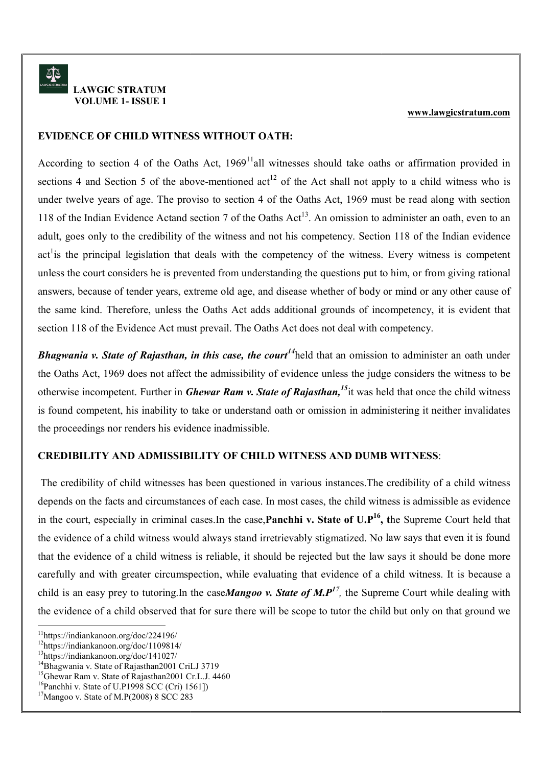### EVIDENCE OF CHILD WITNESS WITHOUT OATH:

According to section 4 of the Oaths Act, 1969<sup>11</sup>all witnesses should take oaths or affirmation provided in sections 4 and Section 5 of the above-mentioned act<sup>12</sup> of the Act shall not apply to a child witness who is under twelve years of age. The proviso to section 4 of the Oaths Act, 1969 must be read along with section 118 of the Indian Evidence Actand section 7 of the Oaths  $Act^{13}$ . An omission to administer an oath, even to an adult, goes only to the credibility of the witness and not his competency. Section 118 of the Indian evidence act<sup>1</sup> is the principal legislation that deals with the competency of the witness. Every witness is competent unless the court considers he is prevented from understanding the questions put to him, or from giving rational answers, because of tender years, extreme old age, and disease whether of body or mind or any other cause of the same kind. Therefore, unless the Oaths Act adds ad ditional grounds of incompetency, it is evident that section 118 of the Evidence Act must prevail. The Oaths Act does not deal with competency. where principal legislation that deals with the competency of the witness. Every witness is competent court considers he is prevented from understanding the questions put to him, or from giving rational ecause of tender ye **ETLD WITNESS WITHOUT OATII: EXAMPLE SETTE AND THE AND THE SETTER CONDUCT AND AND THE AND CONDUCT AND THE AND CONDUCT AND THE SETTER (SEE THE PROPERTY OR THE AND THE SETTER (SEE THE PROPERTY OR THE CONDUCT AND THE CONDU** answers, because of tender years, extreme old age, and disease whether of body or mind or any other cause of

**Bhagwania v. State of Rajasthan, in this case, the court<sup>14</sup>held that an omission to administer an oath under**  $\parallel$ the Oaths Act, 1969 does not affect the admissibility of evidence unless the judge considers the witness to be otherwise incompetent. Further in *Ghewar Ram v. State of Rajasthan*,<sup>15</sup> it was held that once the child witness is found competent, his inability to take or understand oath or omission in administering it neither invalidates the proceedings nor renders his evidence inadmissible.

### CREDIBILITY AND ADMISSIBILITY OF CHILD WITNESS AND DUMB WITNESS CREDIBILITY AND ADMISSIBILITY OF CHILD WITNESS AND DUMB WITNESS:

he proceedings nor renders his evidence inadmissible.<br>
CREDIBILITY AND ADMISSIBILITY OF CHILD WITNESS AND DUMB WITNESS:<br>
The credibility of child witnesses has been questioned in various instances.The credibility of a chil depends on the facts and circumstances of each case. In most cases, the child witness is admissible as evidence depends on the facts and circumstances of each case. In most cases, the child witness is admissible as evidence depends on the facts and circumstances of each case. In most cases, the child witness is admissible as evidence<br>in the court, especially in criminal cases.In the case, **Panchhi v. State of U.P<sup>16</sup>, the Supreme Court held** the evidence of a child witness would always stand irretrievably stigmatized. No law says that even it is found the evidence of a child witness would always stand irretrievably stigmatized. No law says that even it is found that the evidence of a child witness is reliable, it should be rejected but the law says it should be done more that the evidence of a child witness is reliable, it should be rejected but the law says it should be done more carefully and with greater circumspection, while evaluating that evidence of a child witness. It is because a the evidence of a child witness would always stand irretrievably stigmatized. No law says that even it is found<br>that the evidence of a child witness is reliable, it should be rejected but the law says it should be done mo the evidence of a child observed that for sure there will be scope to tutor the child but only on that ground we

-

<sup>11</sup>https://indiankanoon.org/doc/224196/

<sup>12</sup>https://indiankanoon.org/doc/1109814/

<sup>13</sup>https://indiankanoon.org/doc/141027/

<sup>&</sup>lt;sup>14</sup>Bhagwania v. State of Rajasthan2001 CriLJ 3719

<sup>&</sup>lt;sup>15</sup>Ghewar Ram v. State of Rajasthan2001 Cr.L.J. 4460

<sup>&</sup>lt;sup>16</sup>Panchhi v. State of U.P1998 SCC (Cri) 1561])

 $17$ Mangoo v. State of M.P(2008) 8 SCC 283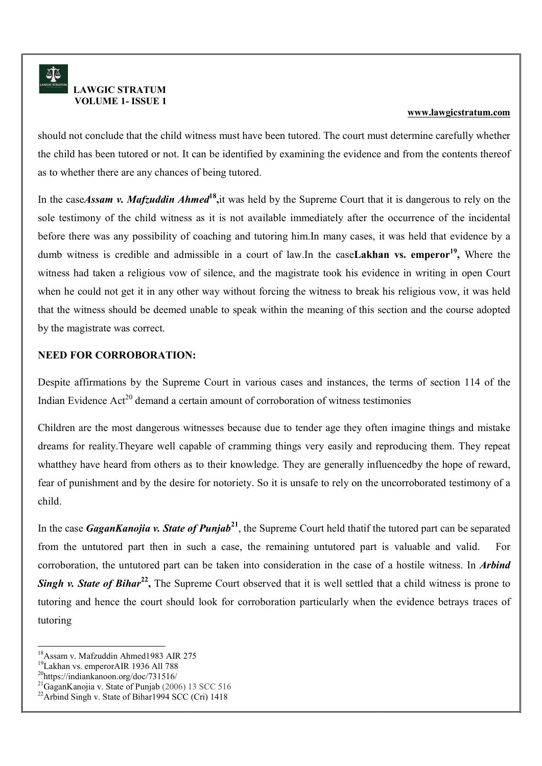should not conclude that the child witness must have been tutored. The court must determine carefully whether the child has been tutored or not. It can be identified by examining the evidence and from the contents thereof as to whether there are any chances of being tutored. conclude that the child witness must have been tutored.<br>as been tutored or not. It can be identified by examining<br>er there are any chances of being tutored. the child has been tutored or not. It can be identified by examining the evidence and from the contents thereof

In the caseAssam v. Mafzuddin Ahmed<sup>18</sup>, it was held by the Supreme Court that it is dangerous to rely on the sole testimony of the child witness as it is not available immediately after the occurrence of the incidental before there was any possibility of coaching and tutoring him.In many cases, it was held that evidence by a before there was any possibility of coaching and tutoring him.In many cases, it was held that evidence by a before there was any possibility of coaching and tutoring him. In many cases, it was held that evidence by a<br>dumb witness is credible and admissible in a court of law. In the case**Lakhan vs. emperor<sup>19</sup>,** Where the witness had taken a religious vow of silence, and the magistrate took his evidence in writing in open Court witness had taken a religious vow of silence, and the magistrate took his evidence in writing in open Court<br>when he could not get it in any other way without forcing the witness to break his religious vow, it was held that the witness should be deemed unable to speak within the meaning of this section and the course adopted by the magistrate was correct. **EXECUTE THE SURFACE CONDUCT THE CONTROL THE CONSTRAINS (SECUTE THE SURFACE CONDUCTS THE SURFACE CONDUCTS (SECUTE AN INCRED CONDUCTS (SECUTE AN INCRED CONDUCTS (SECUTE AN INCRED CONDUCTS) (SECURE THE SURFACE CONDUCTS) (SE** 

### NEED FOR CORROBORATION: CORROBORATION:

Despite affirmations by the Supreme Court in various cases and instances, the terms of section 114 of the Indian Evidence  $Act^{20}$  demand a certain amount of corroboration of witness testimonies

Children are the most dangerous witnesses because due to tender age they often imagine things and mistake dreams for reality. Theyare well capable of cramming things very easily and reproducing them. They repeat | whatthey have heard from others as to their knowledge. They are generally influencedby the hope of reward,  $\parallel$ fear of punishment and by the desire for notoriety. So it is unsafe to rely on the uncorroborated testimony of a child. t<sup>20</sup> demand a certain amount of corroboration of witness testimonies<br>ost dangerous witnesses because due to tender age they often imagine things and mistake<br>Theyare well capable of cramming things very easily and reproduc Children are the most dangerous witnesses because due to tender age they often imagine things and mistake

In the case GaganKanojia v. State of Punjab<sup>21</sup>, the Supreme Court held thatif the tutored part can be separated from the untutored part then in such a case, the remaining untutored part is valuable and valid. For  $\parallel$ corroboration, the untutored part can be taken into consideration in the case of a hostile witness. In *Arbind* from the untutored part then in such a case, the remaining untutored part is valuable and valid. For corroboration, the untutored part can be taken into consideration in the case of a hostile witness. In *Arbind* Singh v. tutoring and hence the court should look for corroboration particularly when the evidence betrays traces of tutoring

<sup>20</sup>https://indiankanoon.org/doc/731516/

-

<sup>18</sup>Assam v. Mafzuddin Ahmed1983 AIR 275

<sup>19</sup>Lakhan vs. emperorAIR 1936 All 788

 $^{21}$ GaganKanojia v. State of Punjab (2006) 13 SCC 516

 $^{22}$ Arbind Singh v. State of Bihar1994 SCC (Cri) 1418